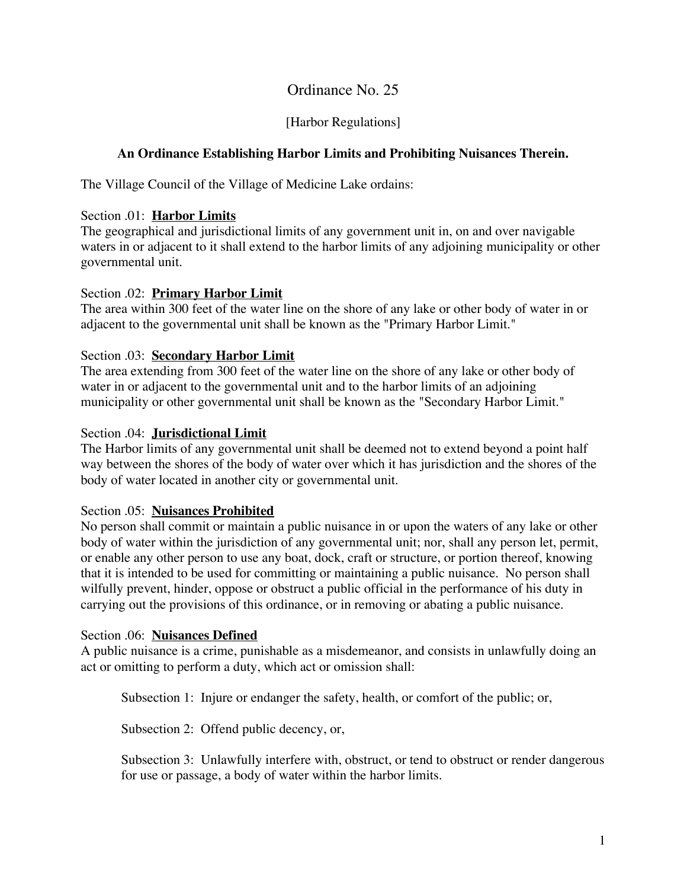# Ordinance No. 25

## [Harbor Regulations]

## **An Ordinance Establishing Harbor Limits and Prohibiting Nuisances Therein.**

The Village Council of the Village of Medicine Lake ordains:

## Section .01: **Harbor Limits**

The geographical and jurisdictional limits of any government unit in, on and over navigable waters in or adjacent to it shall extend to the harbor limits of any adjoining municipality or other governmental unit.

### Section .02: **Primary Harbor Limit**

The area within 300 feet of the water line on the shore of any lake or other body of water in or adjacent to the governmental unit shall be known as the "Primary Harbor Limit."

## Section .03: **Secondary Harbor Limit**

The area extending from 300 feet of the water line on the shore of any lake or other body of water in or adjacent to the governmental unit and to the harbor limits of an adjoining municipality or other governmental unit shall be known as the "Secondary Harbor Limit."

### Section .04: **Jurisdictional Limit**

The Harbor limits of any governmental unit shall be deemed not to extend beyond a point half way between the shores of the body of water over which it has jurisdiction and the shores of the body of water located in another city or governmental unit.

#### Section .05: **Nuisances Prohibited**

No person shall commit or maintain a public nuisance in or upon the waters of any lake or other body of water within the jurisdiction of any governmental unit; nor, shall any person let, permit, or enable any other person to use any boat, dock, craft or structure, or portion thereof, knowing that it is intended to be used for committing or maintaining a public nuisance. No person shall wilfully prevent, hinder, oppose or obstruct a public official in the performance of his duty in carrying out the provisions of this ordinance, or in removing or abating a public nuisance.

#### Section .06: **Nuisances Defined**

A public nuisance is a crime, punishable as a misdemeanor, and consists in unlawfully doing an act or omitting to perform a duty, which act or omission shall:

Subsection 1: Injure or endanger the safety, health, or comfort of the public; or,

Subsection 2: Offend public decency, or,

Subsection 3: Unlawfully interfere with, obstruct, or tend to obstruct or render dangerous for use or passage, a body of water within the harbor limits.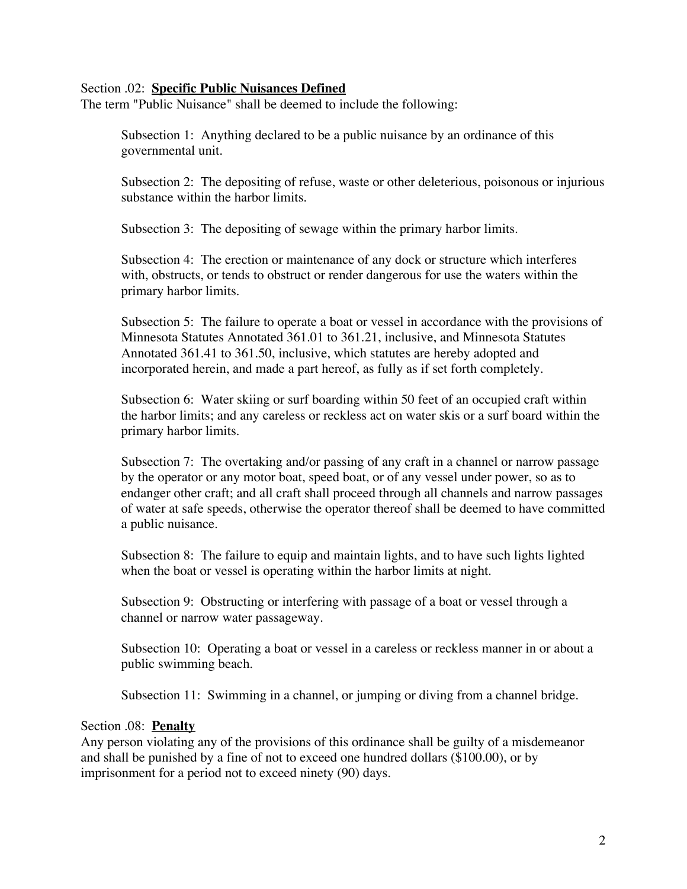#### Section .02: **Specific Public Nuisances Defined**

The term "Public Nuisance" shall be deemed to include the following:

Subsection 1: Anything declared to be a public nuisance by an ordinance of this governmental unit.

Subsection 2: The depositing of refuse, waste or other deleterious, poisonous or injurious substance within the harbor limits.

Subsection 3: The depositing of sewage within the primary harbor limits.

Subsection 4: The erection or maintenance of any dock or structure which interferes with, obstructs, or tends to obstruct or render dangerous for use the waters within the primary harbor limits.

Subsection 5: The failure to operate a boat or vessel in accordance with the provisions of Minnesota Statutes Annotated 361.01 to 361.21, inclusive, and Minnesota Statutes Annotated 361.41 to 361.50, inclusive, which statutes are hereby adopted and incorporated herein, and made a part hereof, as fully as if set forth completely.

Subsection 6: Water skiing or surf boarding within 50 feet of an occupied craft within the harbor limits; and any careless or reckless act on water skis or a surf board within the primary harbor limits.

Subsection 7: The overtaking and/or passing of any craft in a channel or narrow passage by the operator or any motor boat, speed boat, or of any vessel under power, so as to endanger other craft; and all craft shall proceed through all channels and narrow passages of water at safe speeds, otherwise the operator thereof shall be deemed to have committed a public nuisance.

Subsection 8: The failure to equip and maintain lights, and to have such lights lighted when the boat or vessel is operating within the harbor limits at night.

Subsection 9: Obstructing or interfering with passage of a boat or vessel through a channel or narrow water passageway.

Subsection 10: Operating a boat or vessel in a careless or reckless manner in or about a public swimming beach.

Subsection 11: Swimming in a channel, or jumping or diving from a channel bridge.

#### Section .08: **Penalty**

Any person violating any of the provisions of this ordinance shall be guilty of a misdemeanor and shall be punished by a fine of not to exceed one hundred dollars (\$100.00), or by imprisonment for a period not to exceed ninety (90) days.